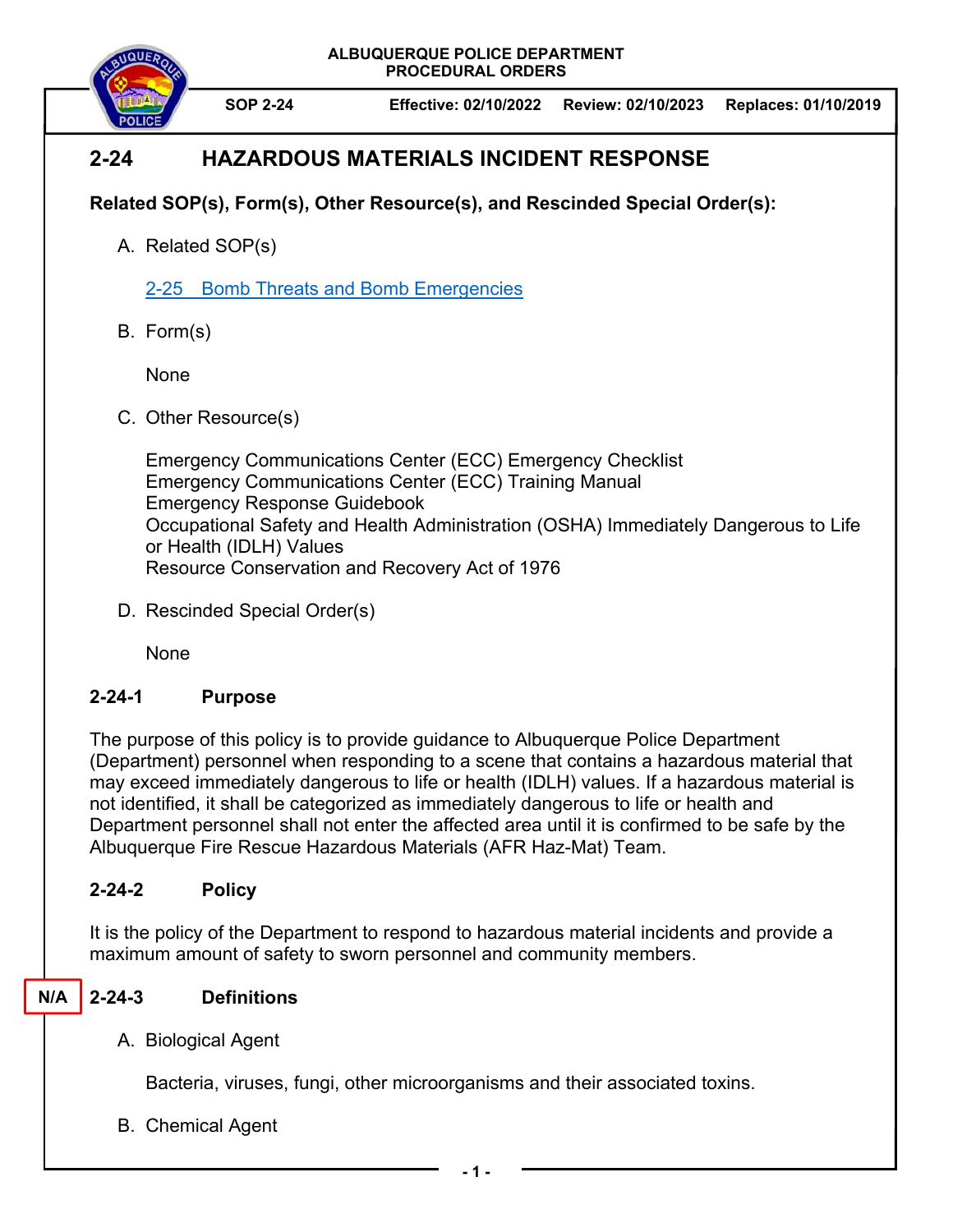

**SOP 2-24 Effective: 02/10/2022 Review: 02/10/2023 Replaces: 01/10/2019** 

# **2-24 HAZARDOUS MATERIALS INCIDENT RESPONSE**

## **Related SOP(s), Form(s), Other Resource(s), and Rescinded Special Order(s):**

A. Related SOP(s)

2-25 Bomb Threats and Bomb Emergencies

B. Form(s)

None

C. Other Resource(s)

Emergency Communications Center (ECC) Emergency Checklist Emergency Communications Center (ECC) Training Manual Emergency Response Guidebook Occupational Safety and Health Administration (OSHA) Immediately Dangerous to Life or Health (IDLH) Values Resource Conservation and Recovery Act of 1976

D. Rescinded Special Order(s)

None

## **2-24-1 Purpose**

The purpose of this policy is to provide guidance to Albuquerque Police Department (Department) personnel when responding to a scene that contains a hazardous material that may exceed immediately dangerous to life or health (IDLH) values. If a hazardous material is not identified, it shall be categorized as immediately dangerous to life or health and Department personnel shall not enter the affected area until it is confirmed to be safe by the Albuquerque Fire Rescue Hazardous Materials (AFR Haz-Mat) Team.

## **2-24-2 Policy**

It is the policy of the Department to respond to hazardous material incidents and provide a maximum amount of safety to sworn personnel and community members.

#### **2-24-3 Definitions N/A**

A. Biological Agent

Bacteria, viruses, fungi, other microorganisms and their associated toxins.

B. Chemical Agent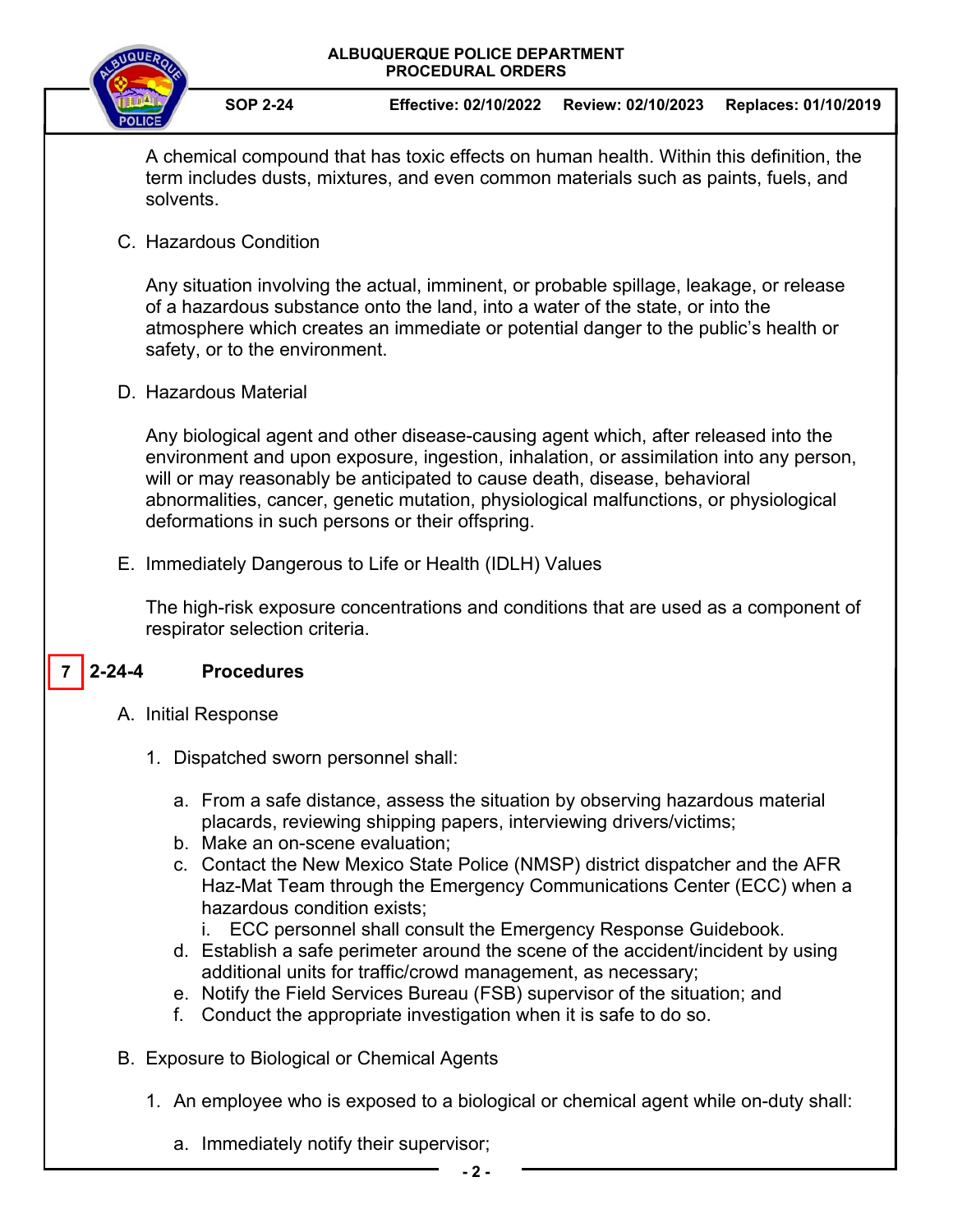

**SOP 2-24 Effective: 02/10/2022 Review: 02/10/2023 Replaces: 01/10/2019** 

A chemical compound that has toxic effects on human health. Within this definition, the term includes dusts, mixtures, and even common materials such as paints, fuels, and solvents.

C. Hazardous Condition

Any situation involving the actual, imminent, or probable spillage, leakage, or release of a hazardous substance onto the land, into a water of the state, or into the atmosphere which creates an immediate or potential danger to the public's health or safety, or to the environment.

D. Hazardous Material

Any biological agent and other disease-causing agent which, after released into the environment and upon exposure, ingestion, inhalation, or assimilation into any person, will or may reasonably be anticipated to cause death, disease, behavioral abnormalities, cancer, genetic mutation, physiological malfunctions, or physiological deformations in such persons or their offspring.

E. Immediately Dangerous to Life or Health (IDLH) Values

The high-risk exposure concentrations and conditions that are used as a component of respirator selection criteria.

#### **2-24-4 Procedures 7**

- A. Initial Response
	- 1. Dispatched sworn personnel shall:
		- a. From a safe distance, assess the situation by observing hazardous material placards, reviewing shipping papers, interviewing drivers/victims;
		- b. Make an on-scene evaluation;
		- c. Contact the New Mexico State Police (NMSP) district dispatcher and the AFR Haz-Mat Team through the Emergency Communications Center (ECC) when a hazardous condition exists;
			- i. ECC personnel shall consult the Emergency Response Guidebook.
		- d. Establish a safe perimeter around the scene of the accident/incident by using additional units for traffic/crowd management, as necessary;
		- e. Notify the Field Services Bureau (FSB) supervisor of the situation; and
		- f. Conduct the appropriate investigation when it is safe to do so.
- B. Exposure to Biological or Chemical Agents
	- 1. An employee who is exposed to a biological or chemical agent while on-duty shall:
		- a. Immediately notify their supervisor;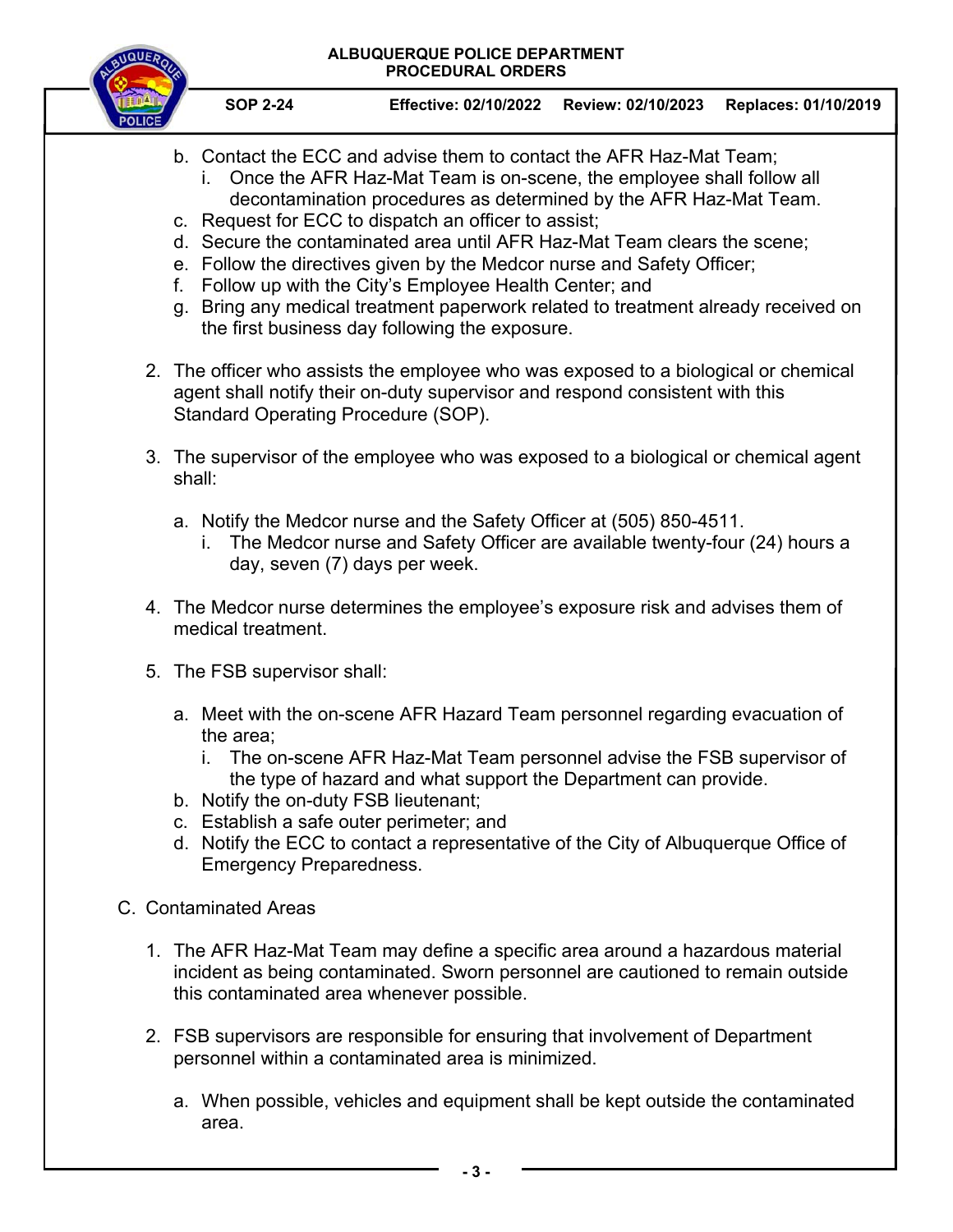**SOP 2-24 Effective: 02/10/2022 Review: 02/10/2023 Replaces: 01/10/2019** 

- b. Contact the ECC and advise them to contact the AFR Haz-Mat Team;
	- i. Once the AFR Haz-Mat Team is on-scene, the employee shall follow all decontamination procedures as determined by the AFR Haz-Mat Team.
- c. Request for ECC to dispatch an officer to assist;
- d. Secure the contaminated area until AFR Haz-Mat Team clears the scene;
- e. Follow the directives given by the Medcor nurse and Safety Officer;
- f. Follow up with the City's Employee Health Center; and
- g. Bring any medical treatment paperwork related to treatment already received on the first business day following the exposure.
- 2. The officer who assists the employee who was exposed to a biological or chemical agent shall notify their on-duty supervisor and respond consistent with this Standard Operating Procedure (SOP).
- 3. The supervisor of the employee who was exposed to a biological or chemical agent shall:
	- a. Notify the Medcor nurse and the Safety Officer at (505) 850-4511.
		- i. The Medcor nurse and Safety Officer are available twenty-four (24) hours a day, seven (7) days per week.
- 4. The Medcor nurse determines the employee's exposure risk and advises them of medical treatment.
- 5. The FSB supervisor shall:
	- a. Meet with the on-scene AFR Hazard Team personnel regarding evacuation of the area;
		- i. The on-scene AFR Haz-Mat Team personnel advise the FSB supervisor of the type of hazard and what support the Department can provide.
	- b. Notify the on-duty FSB lieutenant;
	- c. Establish a safe outer perimeter; and
	- d. Notify the ECC to contact a representative of the City of Albuquerque Office of Emergency Preparedness.
- C. Contaminated Areas
	- 1. The AFR Haz-Mat Team may define a specific area around a hazardous material incident as being contaminated. Sworn personnel are cautioned to remain outside this contaminated area whenever possible.
	- 2. FSB supervisors are responsible for ensuring that involvement of Department personnel within a contaminated area is minimized.
		- a. When possible, vehicles and equipment shall be kept outside the contaminated area.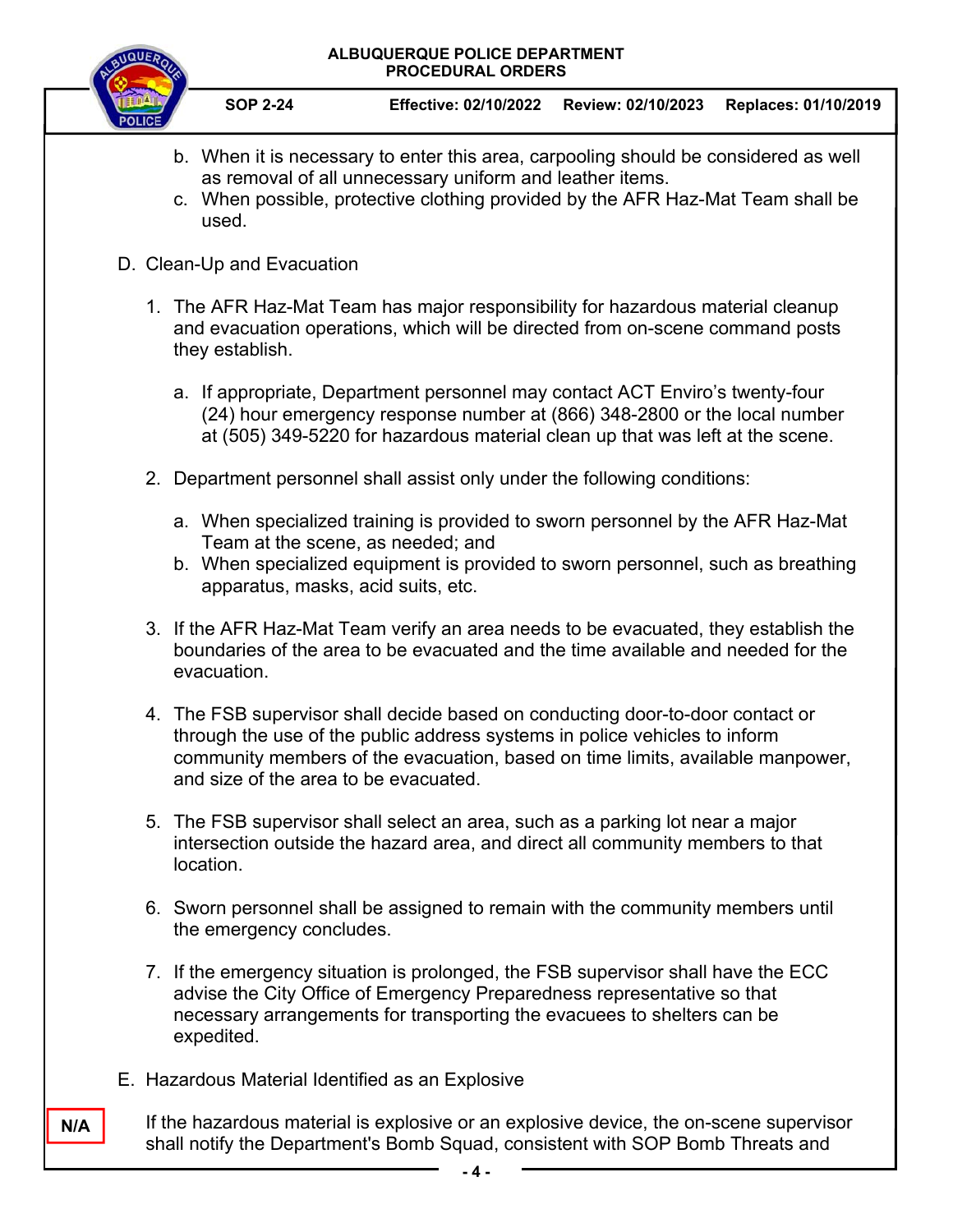

- b. When it is necessary to enter this area, carpooling should be considered as well as removal of all unnecessary uniform and leather items.
- c. When possible, protective clothing provided by the AFR Haz-Mat Team shall be used.
- D. Clean-Up and Evacuation
	- 1. The AFR Haz-Mat Team has major responsibility for hazardous material cleanup and evacuation operations, which will be directed from on-scene command posts they establish.
		- a. If appropriate, Department personnel may contact ACT Enviro's twenty-four (24) hour emergency response number at (866) 348-2800 or the local number at (505) 349-5220 for hazardous material clean up that was left at the scene.
	- 2. Department personnel shall assist only under the following conditions:
		- a. When specialized training is provided to sworn personnel by the AFR Haz-Mat Team at the scene, as needed; and
		- b. When specialized equipment is provided to sworn personnel, such as breathing apparatus, masks, acid suits, etc.
	- 3. If the AFR Haz-Mat Team verify an area needs to be evacuated, they establish the boundaries of the area to be evacuated and the time available and needed for the evacuation.
	- 4. The FSB supervisor shall decide based on conducting door-to-door contact or through the use of the public address systems in police vehicles to inform community members of the evacuation, based on time limits, available manpower, and size of the area to be evacuated.
	- 5. The FSB supervisor shall select an area, such as a parking lot near a major intersection outside the hazard area, and direct all community members to that location.
	- 6. Sworn personnel shall be assigned to remain with the community members until the emergency concludes.
	- 7. If the emergency situation is prolonged, the FSB supervisor shall have the ECC advise the City Office of Emergency Preparedness representative so that necessary arrangements for transporting the evacuees to shelters can be expedited.
- E. Hazardous Material Identified as an Explosive

**N/A**

If the hazardous material is explosive or an explosive device, the on-scene supervisor shall notify the Department's Bomb Squad, consistent with SOP Bomb Threats and